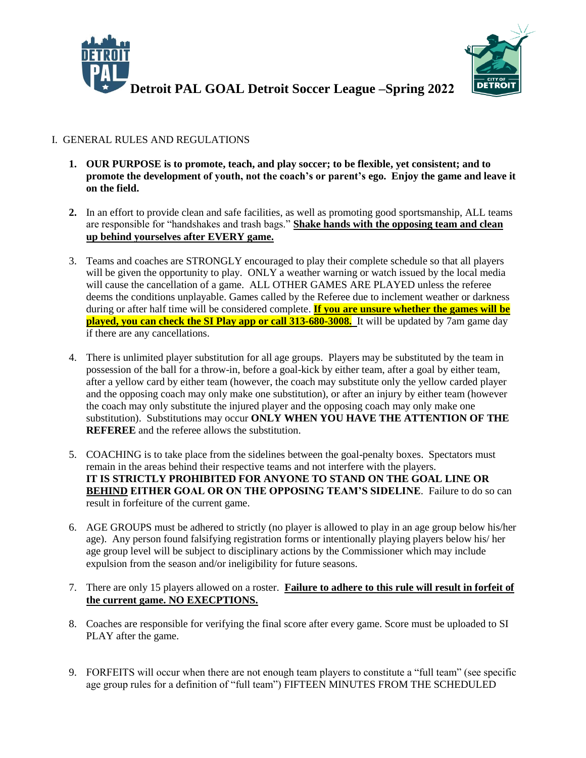

### I. GENERAL RULES AND REGULATIONS

- **1. OUR PURPOSE is to promote, teach, and play soccer; to be flexible, yet consistent; and to promote the development of youth, not the coach's or parent's ego. Enjoy the game and leave it on the field.**
- **2.** In an effort to provide clean and safe facilities, as well as promoting good sportsmanship, ALL teams are responsible for "handshakes and trash bags." **Shake hands with the opposing team and clean up behind yourselves after EVERY game.**
- 3. Teams and coaches are STRONGLY encouraged to play their complete schedule so that all players will be given the opportunity to play. ONLY a weather warning or watch issued by the local media will cause the cancellation of a game. ALL OTHER GAMES ARE PLAYED unless the referee deems the conditions unplayable. Games called by the Referee due to inclement weather or darkness during or after half time will be considered complete. **If you are unsure whether the games will be played, you can check the SI Play app or call 313-680-3008.** It will be updated by 7am game day if there are any cancellations.
- 4. There is unlimited player substitution for all age groups. Players may be substituted by the team in possession of the ball for a throw-in, before a goal-kick by either team, after a goal by either team, after a yellow card by either team (however, the coach may substitute only the yellow carded player and the opposing coach may only make one substitution), or after an injury by either team (however the coach may only substitute the injured player and the opposing coach may only make one substitution). Substitutions may occur **ONLY WHEN YOU HAVE THE ATTENTION OF THE REFEREE** and the referee allows the substitution.
- 5. COACHING is to take place from the sidelines between the goal-penalty boxes. Spectators must remain in the areas behind their respective teams and not interfere with the players. **IT IS STRICTLY PROHIBITED FOR ANYONE TO STAND ON THE GOAL LINE OR BEHIND EITHER GOAL OR ON THE OPPOSING TEAM'S SIDELINE**. Failure to do so can result in forfeiture of the current game.
- 6. AGE GROUPS must be adhered to strictly (no player is allowed to play in an age group below his/her age). Any person found falsifying registration forms or intentionally playing players below his/ her age group level will be subject to disciplinary actions by the Commissioner which may include expulsion from the season and/or ineligibility for future seasons.
- 7. There are only 15 players allowed on a roster. **Failure to adhere to this rule will result in forfeit of the current game. NO EXECPTIONS.**
- 8. Coaches are responsible for verifying the final score after every game. Score must be uploaded to SI PLAY after the game.
- 9. FORFEITS will occur when there are not enough team players to constitute a "full team" (see specific age group rules for a definition of "full team") FIFTEEN MINUTES FROM THE SCHEDULED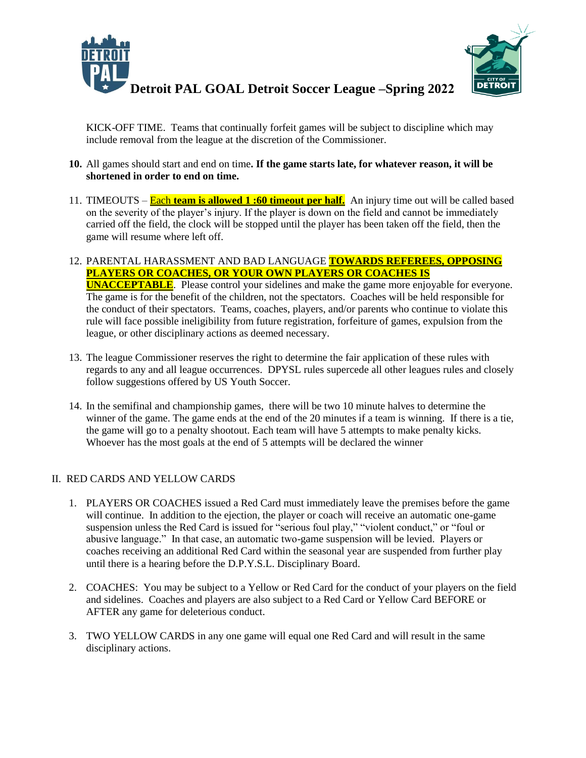



KICK-OFF TIME. Teams that continually forfeit games will be subject to discipline which may include removal from the league at the discretion of the Commissioner.

- **10.** All games should start and end on time**. If the game starts late, for whatever reason, it will be shortened in order to end on time.**
- 11. TIMEOUTS Each **team is allowed 1 :60 timeout per half.** An injury time out will be called based on the severity of the player's injury. If the player is down on the field and cannot be immediately carried off the field, the clock will be stopped until the player has been taken off the field, then the game will resume where left off.
- 12. PARENTAL HARASSMENT AND BAD LANGUAGE **TOWARDS REFEREES, OPPOSING PLAYERS OR COACHES, OR YOUR OWN PLAYERS OR COACHES IS UNACCEPTABLE**. Please control your sidelines and make the game more enjoyable for everyone. The game is for the benefit of the children, not the spectators. Coaches will be held responsible for the conduct of their spectators. Teams, coaches, players, and/or parents who continue to violate this rule will face possible ineligibility from future registration, forfeiture of games, expulsion from the league, or other disciplinary actions as deemed necessary.
- 13. The league Commissioner reserves the right to determine the fair application of these rules with regards to any and all league occurrences. DPYSL rules supercede all other leagues rules and closely follow suggestions offered by US Youth Soccer.
- 14. In the semifinal and championship games, there will be two 10 minute halves to determine the winner of the game. The game ends at the end of the 20 minutes if a team is winning. If there is a tie, the game will go to a penalty shootout. Each team will have 5 attempts to make penalty kicks. Whoever has the most goals at the end of 5 attempts will be declared the winner

### II. RED CARDS AND YELLOW CARDS

- 1. PLAYERS OR COACHES issued a Red Card must immediately leave the premises before the game will continue. In addition to the ejection, the player or coach will receive an automatic one-game suspension unless the Red Card is issued for "serious foul play," "violent conduct," or "foul or abusive language." In that case, an automatic two-game suspension will be levied. Players or coaches receiving an additional Red Card within the seasonal year are suspended from further play until there is a hearing before the D.P.Y.S.L. Disciplinary Board.
- 2. COACHES: You may be subject to a Yellow or Red Card for the conduct of your players on the field and sidelines. Coaches and players are also subject to a Red Card or Yellow Card BEFORE or AFTER any game for deleterious conduct.
- 3. TWO YELLOW CARDS in any one game will equal one Red Card and will result in the same disciplinary actions.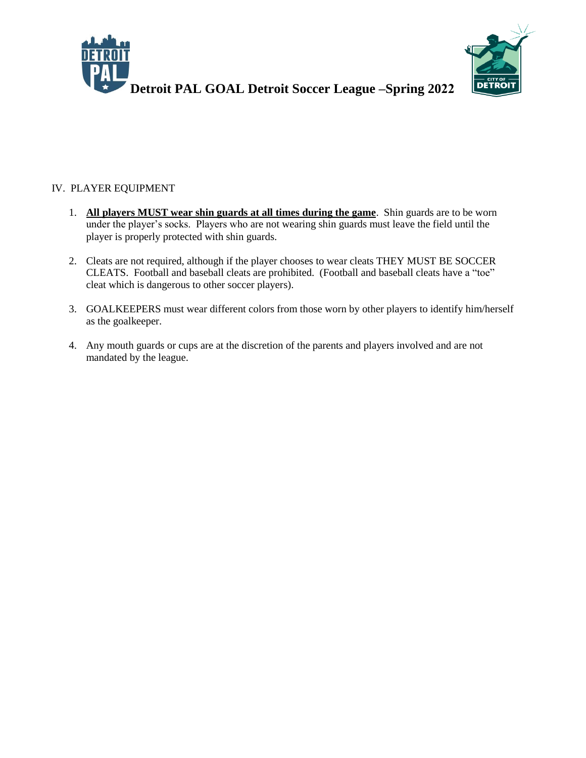



### IV. PLAYER EQUIPMENT

- 1. **All players MUST wear shin guards at all times during the game**. Shin guards are to be worn under the player's socks. Players who are not wearing shin guards must leave the field until the player is properly protected with shin guards.
- 2. Cleats are not required, although if the player chooses to wear cleats THEY MUST BE SOCCER CLEATS. Football and baseball cleats are prohibited. (Football and baseball cleats have a "toe" cleat which is dangerous to other soccer players).
- 3. GOALKEEPERS must wear different colors from those worn by other players to identify him/herself as the goalkeeper.
- 4. Any mouth guards or cups are at the discretion of the parents and players involved and are not mandated by the league.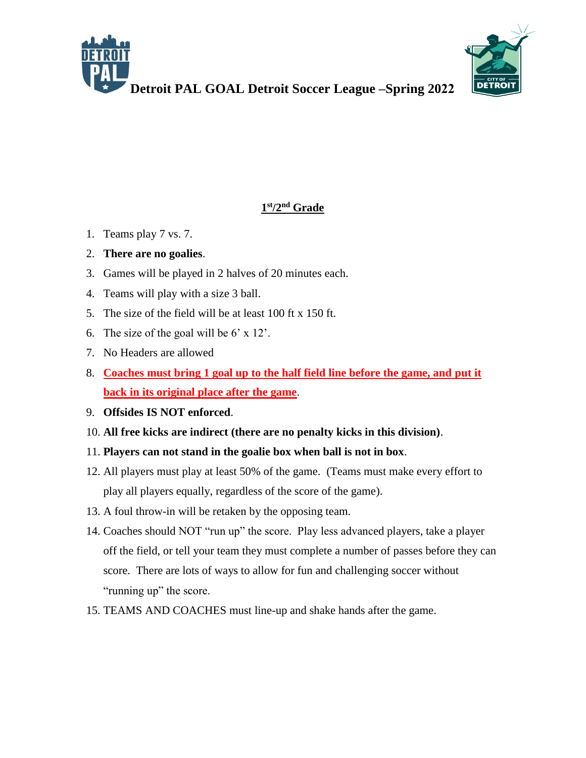



# **1 st/2 nd Grade**

- 1. Teams play 7 vs. 7.
- 2. **There are no goalies**.
- 3. Games will be played in 2 halves of 20 minutes each.
- 4. Teams will play with a size 3 ball.
- 5. The size of the field will be at least 100 ft x 150 ft.
- 6. The size of the goal will be  $6' \times 12'$ .
- 7. No Headers are allowed
- 8. **Coaches must bring 1 goal up to the half field line before the game, and put it back in its original place after the game**.
- 9. **Offsides IS NOT enforced**.
- 10. **All free kicks are indirect (there are no penalty kicks in this division)**.
- 11. **Players can not stand in the goalie box when ball is not in box**.
- 12. All players must play at least 50% of the game. (Teams must make every effort to play all players equally, regardless of the score of the game).
- 13. A foul throw-in will be retaken by the opposing team.
- 14. Coaches should NOT "run up" the score. Play less advanced players, take a player off the field, or tell your team they must complete a number of passes before they can score. There are lots of ways to allow for fun and challenging soccer without "running up" the score.
- 15. TEAMS AND COACHES must line-up and shake hands after the game.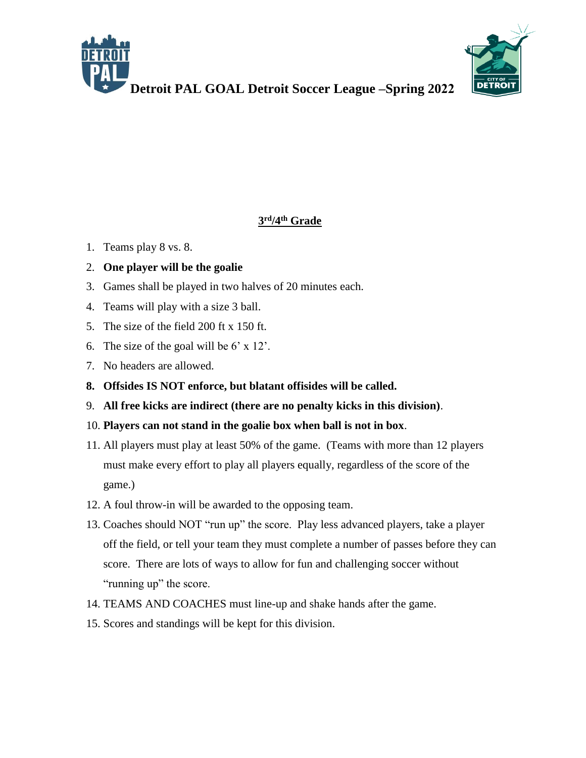



### **3 rd/4th Grade**

- 1. Teams play 8 vs. 8.
- 2. **One player will be the goalie**
- 3. Games shall be played in two halves of 20 minutes each.
- 4. Teams will play with a size 3 ball.
- 5. The size of the field 200 ft x 150 ft.
- 6. The size of the goal will be  $6' \times 12'$ .
- 7. No headers are allowed.
- **8. Offsides IS NOT enforce, but blatant offisides will be called.**
- 9. **All free kicks are indirect (there are no penalty kicks in this division)**.

### 10. **Players can not stand in the goalie box when ball is not in box**.

- 11. All players must play at least 50% of the game. (Teams with more than 12 players must make every effort to play all players equally, regardless of the score of the game.)
- 12. A foul throw-in will be awarded to the opposing team.
- 13. Coaches should NOT "run up" the score. Play less advanced players, take a player off the field, or tell your team they must complete a number of passes before they can score. There are lots of ways to allow for fun and challenging soccer without "running up" the score.
- 14. TEAMS AND COACHES must line-up and shake hands after the game.
- 15. Scores and standings will be kept for this division.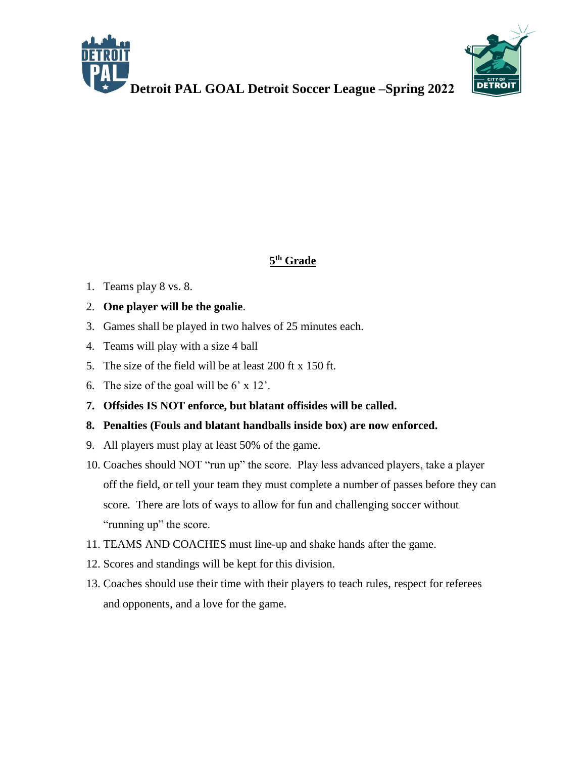



# **5 th Grade**

- 1. Teams play 8 vs. 8.
- 2. **One player will be the goalie**.
- 3. Games shall be played in two halves of 25 minutes each.
- 4. Teams will play with a size 4 ball
- 5. The size of the field will be at least 200 ft x 150 ft.
- 6. The size of the goal will be  $6' \times 12'$ .
- **7. Offsides IS NOT enforce, but blatant offisides will be called.**
- **8. Penalties (Fouls and blatant handballs inside box) are now enforced.**
- 9. All players must play at least 50% of the game.
- 10. Coaches should NOT "run up" the score. Play less advanced players, take a player off the field, or tell your team they must complete a number of passes before they can score. There are lots of ways to allow for fun and challenging soccer without "running up" the score.
- 11. TEAMS AND COACHES must line-up and shake hands after the game.
- 12. Scores and standings will be kept for this division.
- 13. Coaches should use their time with their players to teach rules, respect for referees and opponents, and a love for the game.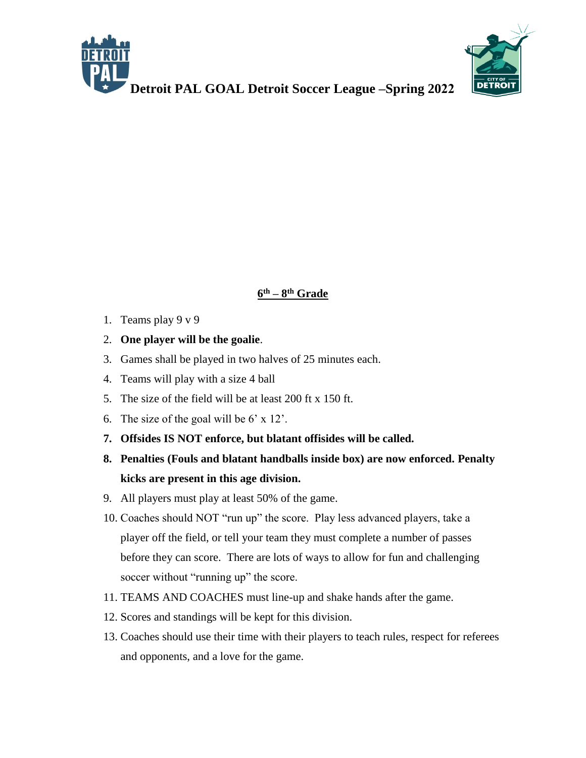



# **6 th – 8 th Grade**

- 1. Teams play 9 v 9
- 2. **One player will be the goalie**.
- 3. Games shall be played in two halves of 25 minutes each.
- 4. Teams will play with a size 4 ball
- 5. The size of the field will be at least 200 ft x 150 ft.
- 6. The size of the goal will be  $6' \times 12'$ .
- **7. Offsides IS NOT enforce, but blatant offisides will be called.**
- **8. Penalties (Fouls and blatant handballs inside box) are now enforced. Penalty kicks are present in this age division.**
- 9. All players must play at least 50% of the game.
- 10. Coaches should NOT "run up" the score. Play less advanced players, take a player off the field, or tell your team they must complete a number of passes before they can score. There are lots of ways to allow for fun and challenging soccer without "running up" the score.
- 11. TEAMS AND COACHES must line-up and shake hands after the game.
- 12. Scores and standings will be kept for this division.
- 13. Coaches should use their time with their players to teach rules, respect for referees and opponents, and a love for the game.